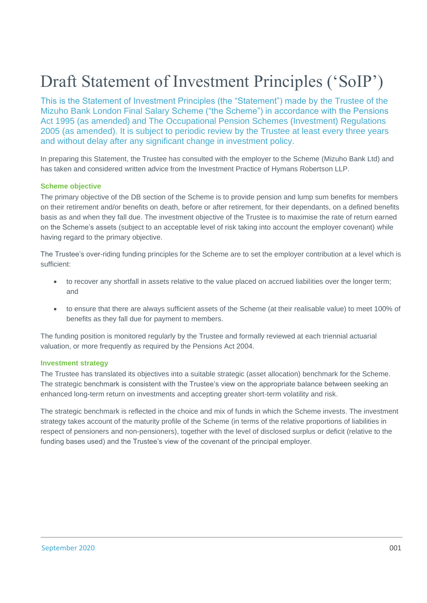# Draft Statement of Investment Principles ('SoIP')

This is the Statement of Investment Principles (the "Statement") made by the Trustee of the Mizuho Bank London Final Salary Scheme ("the Scheme") in accordance with the Pensions Act 1995 (as amended) and The Occupational Pension Schemes (Investment) Regulations 2005 (as amended). It is subject to periodic review by the Trustee at least every three years and without delay after any significant change in investment policy.

In preparing this Statement, the Trustee has consulted with the employer to the Scheme (Mizuho Bank Ltd) and has taken and considered written advice from the Investment Practice of Hymans Robertson LLP.

## **Scheme objective**

The primary objective of the DB section of the Scheme is to provide pension and lump sum benefits for members on their retirement and/or benefits on death, before or after retirement, for their dependants, on a defined benefits basis as and when they fall due. The investment objective of the Trustee is to maximise the rate of return earned on the Scheme's assets (subject to an acceptable level of risk taking into account the employer covenant) while having regard to the primary objective.

The Trustee's over-riding funding principles for the Scheme are to set the employer contribution at a level which is sufficient:

- to recover any shortfall in assets relative to the value placed on accrued liabilities over the longer term; and
- to ensure that there are always sufficient assets of the Scheme (at their realisable value) to meet 100% of benefits as they fall due for payment to members.

The funding position is monitored regularly by the Trustee and formally reviewed at each triennial actuarial valuation, or more frequently as required by the Pensions Act 2004.

#### **Investment strategy**

The Trustee has translated its objectives into a suitable strategic (asset allocation) benchmark for the Scheme. The strategic benchmark is consistent with the Trustee's view on the appropriate balance between seeking an enhanced long-term return on investments and accepting greater short-term volatility and risk.

The strategic benchmark is reflected in the choice and mix of funds in which the Scheme invests. The investment strategy takes account of the maturity profile of the Scheme (in terms of the relative proportions of liabilities in respect of pensioners and non-pensioners), together with the level of disclosed surplus or deficit (relative to the funding bases used) and the Trustee's view of the covenant of the principal employer.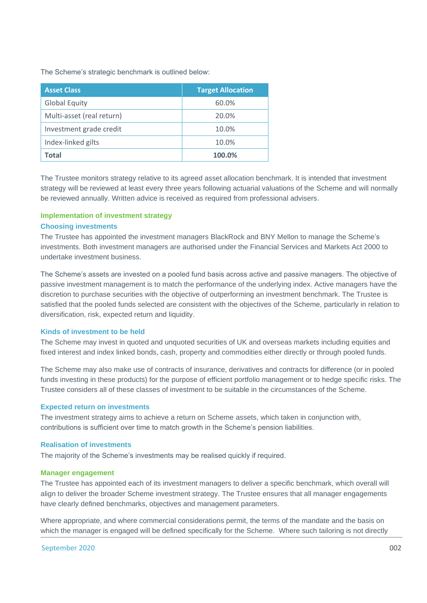The Scheme's strategic benchmark is outlined below:

| <b>Asset Class</b>        | <b>Target Allocation</b> |
|---------------------------|--------------------------|
| <b>Global Equity</b>      | 60.0%                    |
| Multi-asset (real return) | 20.0%                    |
| Investment grade credit   | 10.0%                    |
| Index-linked gilts        | 10.0%                    |
| Total                     | 100.0%                   |

The Trustee monitors strategy relative to its agreed asset allocation benchmark. It is intended that investment strategy will be reviewed at least every three years following actuarial valuations of the Scheme and will normally be reviewed annually. Written advice is received as required from professional advisers.

# **Implementation of investment strategy Choosing investments**

The Trustee has appointed the investment managers BlackRock and BNY Mellon to manage the Scheme's investments. Both investment managers are authorised under the Financial Services and Markets Act 2000 to undertake investment business.

The Scheme's assets are invested on a pooled fund basis across active and passive managers. The objective of passive investment management is to match the performance of the underlying index. Active managers have the discretion to purchase securities with the objective of outperforming an investment benchmark. The Trustee is satisfied that the pooled funds selected are consistent with the objectives of the Scheme, particularly in relation to diversification, risk, expected return and liquidity.

## **Kinds of investment to be held**

The Scheme may invest in quoted and unquoted securities of UK and overseas markets including equities and fixed interest and index linked bonds, cash, property and commodities either directly or through pooled funds.

The Scheme may also make use of contracts of insurance, derivatives and contracts for difference (or in pooled funds investing in these products) for the purpose of efficient portfolio management or to hedge specific risks. The Trustee considers all of these classes of investment to be suitable in the circumstances of the Scheme.

## **Expected return on investments**

The investment strategy aims to achieve a return on Scheme assets, which taken in conjunction with, contributions is sufficient over time to match growth in the Scheme's pension liabilities.

## **Realisation of investments**

The majority of the Scheme's investments may be realised quickly if required.

## **Manager engagement**

The Trustee has appointed each of its investment managers to deliver a specific benchmark, which overall will align to deliver the broader Scheme investment strategy. The Trustee ensures that all manager engagements have clearly defined benchmarks, objectives and management parameters.

Where appropriate, and where commercial considerations permit, the terms of the mandate and the basis on which the manager is engaged will be defined specifically for the Scheme. Where such tailoring is not directly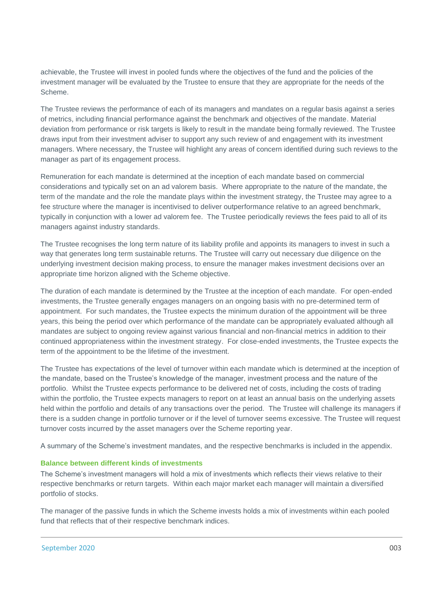achievable, the Trustee will invest in pooled funds where the objectives of the fund and the policies of the investment manager will be evaluated by the Trustee to ensure that they are appropriate for the needs of the Scheme.

The Trustee reviews the performance of each of its managers and mandates on a regular basis against a series of metrics, including financial performance against the benchmark and objectives of the mandate. Material deviation from performance or risk targets is likely to result in the mandate being formally reviewed. The Trustee draws input from their investment adviser to support any such review of and engagement with its investment managers. Where necessary, the Trustee will highlight any areas of concern identified during such reviews to the manager as part of its engagement process.

Remuneration for each mandate is determined at the inception of each mandate based on commercial considerations and typically set on an ad valorem basis. Where appropriate to the nature of the mandate, the term of the mandate and the role the mandate plays within the investment strategy, the Trustee may agree to a fee structure where the manager is incentivised to deliver outperformance relative to an agreed benchmark, typically in conjunction with a lower ad valorem fee. The Trustee periodically reviews the fees paid to all of its managers against industry standards.

The Trustee recognises the long term nature of its liability profile and appoints its managers to invest in such a way that generates long term sustainable returns. The Trustee will carry out necessary due diligence on the underlying investment decision making process, to ensure the manager makes investment decisions over an appropriate time horizon aligned with the Scheme objective.

The duration of each mandate is determined by the Trustee at the inception of each mandate. For open-ended investments, the Trustee generally engages managers on an ongoing basis with no pre-determined term of appointment. For such mandates, the Trustee expects the minimum duration of the appointment will be three years, this being the period over which performance of the mandate can be appropriately evaluated although all mandates are subject to ongoing review against various financial and non-financial metrics in addition to their continued appropriateness within the investment strategy. For close-ended investments, the Trustee expects the term of the appointment to be the lifetime of the investment.

The Trustee has expectations of the level of turnover within each mandate which is determined at the inception of the mandate, based on the Trustee's knowledge of the manager, investment process and the nature of the portfolio. Whilst the Trustee expects performance to be delivered net of costs, including the costs of trading within the portfolio, the Trustee expects managers to report on at least an annual basis on the underlying assets held within the portfolio and details of any transactions over the period. The Trustee will challenge its managers if there is a sudden change in portfolio turnover or if the level of turnover seems excessive. The Trustee will request turnover costs incurred by the asset managers over the Scheme reporting year.

A summary of the Scheme's investment mandates, and the respective benchmarks is included in the appendix.

## **Balance between different kinds of investments**

The Scheme's investment managers will hold a mix of investments which reflects their views relative to their respective benchmarks or return targets. Within each major market each manager will maintain a diversified portfolio of stocks.

The manager of the passive funds in which the Scheme invests holds a mix of investments within each pooled fund that reflects that of their respective benchmark indices.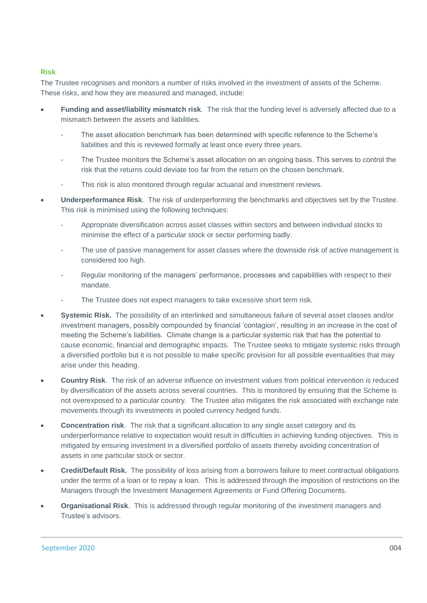# **Risk**

The Trustee recognises and monitors a number of risks involved in the investment of assets of the Scheme. These risks, and how they are measured and managed, include:

- **Funding and asset/liability mismatch risk**. The risk that the funding level is adversely affected due to a mismatch between the assets and liabilities.
	- The asset allocation benchmark has been determined with specific reference to the Scheme's liabilities and this is reviewed formally at least once every three years.
	- The Trustee monitors the Scheme's asset allocation on an ongoing basis. This serves to control the risk that the returns could deviate too far from the return on the chosen benchmark.
	- This risk is also monitored through regular actuarial and investment reviews.
- **Underperformance Risk**. The risk of underperforming the benchmarks and objectives set by the Trustee. This risk is minimised using the following techniques:
	- Appropriate diversification across asset classes within sectors and between individual stocks to minimise the effect of a particular stock or sector performing badly.
	- The use of passive management for asset classes where the downside risk of active management is considered too high.
	- Regular monitoring of the managers' performance, processes and capabilities with respect to their mandate.
	- The Trustee does not expect managers to take excessive short term risk.
- **Systemic Risk.** The possibility of an interlinked and simultaneous failure of several asset classes and/or investment managers, possibly compounded by financial 'contagion', resulting in an increase in the cost of meeting the Scheme's liabilities. Climate change is a particular systemic risk that has the potential to cause economic, financial and demographic impacts.The Trustee seeks to mitigate systemic risks through a diversified portfolio but it is not possible to make specific provision for all possible eventualities that may arise under this heading.
- **Country Risk**. The risk of an adverse influence on investment values from political intervention is reduced by diversification of the assets across several countries. This is monitored by ensuring that the Scheme is not overexposed to a particular country. The Trustee also mitigates the risk associated with exchange rate movements through its investments in pooled currency hedged funds.
- **Concentration risk**. The risk that a significant allocation to any single asset category and its underperformance relative to expectation would result in difficulties in achieving funding objectives. This is mitigated by ensuring investment in a diversified portfolio of assets thereby avoiding concentration of assets in one particular stock or sector.
- **Credit/Default Risk.** The possibility of loss arising from a borrowers failure to meet contractual obligations under the terms of a loan or to repay a loan. This is addressed through the imposition of restrictions on the Managers through the Investment Management Agreements or Fund Offering Documents.
- **Organisational Risk**. This is addressed through regular monitoring of the investment managers and Trustee's advisors.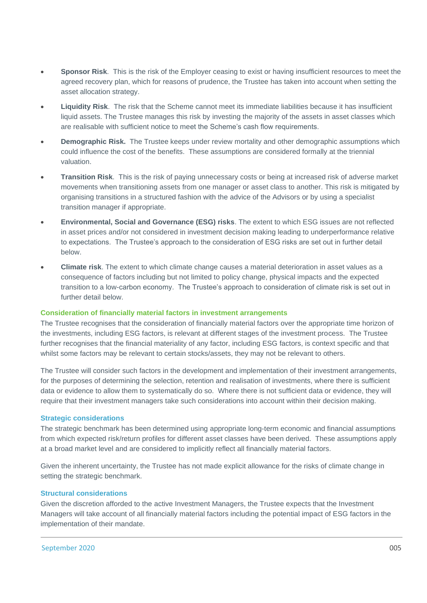- **Sponsor Risk**. This is the risk of the Employer ceasing to exist or having insufficient resources to meet the agreed recovery plan, which for reasons of prudence, the Trustee has taken into account when setting the asset allocation strategy.
- **Liquidity Risk**. The risk that the Scheme cannot meet its immediate liabilities because it has insufficient liquid assets. The Trustee manages this risk by investing the majority of the assets in asset classes which are realisable with sufficient notice to meet the Scheme's cash flow requirements.
- **Demographic Risk.** The Trustee keeps under review mortality and other demographic assumptions which could influence the cost of the benefits. These assumptions are considered formally at the triennial valuation.
- **Transition Risk**. This is the risk of paying unnecessary costs or being at increased risk of adverse market movements when transitioning assets from one manager or asset class to another. This risk is mitigated by organising transitions in a structured fashion with the advice of the Advisors or by using a specialist transition manager if appropriate.
- **Environmental, Social and Governance (ESG) risks**. The extent to which ESG issues are not reflected in asset prices and/or not considered in investment decision making leading to underperformance relative to expectations. The Trustee's approach to the consideration of ESG risks are set out in further detail below.
- **Climate risk**. The extent to which climate change causes a material deterioration in asset values as a consequence of factors including but not limited to policy change, physical impacts and the expected transition to a low-carbon economy. The Trustee's approach to consideration of climate risk is set out in further detail below.

## **Consideration of financially material factors in investment arrangements**

The Trustee recognises that the consideration of financially material factors over the appropriate time horizon of the investments, including ESG factors, is relevant at different stages of the investment process. The Trustee further recognises that the financial materiality of any factor, including ESG factors, is context specific and that whilst some factors may be relevant to certain stocks/assets, they may not be relevant to others.

The Trustee will consider such factors in the development and implementation of their investment arrangements, for the purposes of determining the selection, retention and realisation of investments, where there is sufficient data or evidence to allow them to systematically do so. Where there is not sufficient data or evidence, they will require that their investment managers take such considerations into account within their decision making.

#### **Strategic considerations**

The strategic benchmark has been determined using appropriate long-term economic and financial assumptions from which expected risk/return profiles for different asset classes have been derived. These assumptions apply at a broad market level and are considered to implicitly reflect all financially material factors.

Given the inherent uncertainty, the Trustee has not made explicit allowance for the risks of climate change in setting the strategic benchmark.

#### **Structural considerations**

Given the discretion afforded to the active Investment Managers, the Trustee expects that the Investment Managers will take account of all financially material factors including the potential impact of ESG factors in the implementation of their mandate.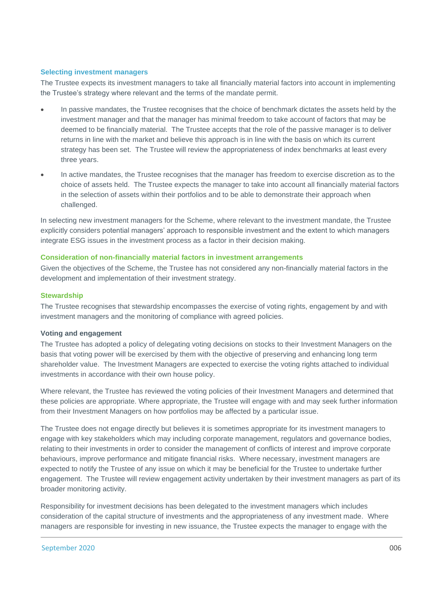#### **Selecting investment managers**

The Trustee expects its investment managers to take all financially material factors into account in implementing the Trustee's strategy where relevant and the terms of the mandate permit.

- In passive mandates, the Trustee recognises that the choice of benchmark dictates the assets held by the investment manager and that the manager has minimal freedom to take account of factors that may be deemed to be financially material. The Trustee accepts that the role of the passive manager is to deliver returns in line with the market and believe this approach is in line with the basis on which its current strategy has been set. The Trustee will review the appropriateness of index benchmarks at least every three years.
- In active mandates, the Trustee recognises that the manager has freedom to exercise discretion as to the choice of assets held. The Trustee expects the manager to take into account all financially material factors in the selection of assets within their portfolios and to be able to demonstrate their approach when challenged.

In selecting new investment managers for the Scheme, where relevant to the investment mandate, the Trustee explicitly considers potential managers' approach to responsible investment and the extent to which managers integrate ESG issues in the investment process as a factor in their decision making.

## **Consideration of non-financially material factors in investment arrangements**

Given the objectives of the Scheme, the Trustee has not considered any non-financially material factors in the development and implementation of their investment strategy.

#### **Stewardship**

The Trustee recognises that stewardship encompasses the exercise of voting rights, engagement by and with investment managers and the monitoring of compliance with agreed policies.

#### **Voting and engagement**

The Trustee has adopted a policy of delegating voting decisions on stocks to their Investment Managers on the basis that voting power will be exercised by them with the objective of preserving and enhancing long term shareholder value. The Investment Managers are expected to exercise the voting rights attached to individual investments in accordance with their own house policy.

Where relevant, the Trustee has reviewed the voting policies of their Investment Managers and determined that these policies are appropriate. Where appropriate, the Trustee will engage with and may seek further information from their Investment Managers on how portfolios may be affected by a particular issue.

The Trustee does not engage directly but believes it is sometimes appropriate for its investment managers to engage with key stakeholders which may including corporate management, regulators and governance bodies, relating to their investments in order to consider the management of conflicts of interest and improve corporate behaviours, improve performance and mitigate financial risks. Where necessary, investment managers are expected to notify the Trustee of any issue on which it may be beneficial for the Trustee to undertake further engagement. The Trustee will review engagement activity undertaken by their investment managers as part of its broader monitoring activity.

Responsibility for investment decisions has been delegated to the investment managers which includes consideration of the capital structure of investments and the appropriateness of any investment made. Where managers are responsible for investing in new issuance, the Trustee expects the manager to engage with the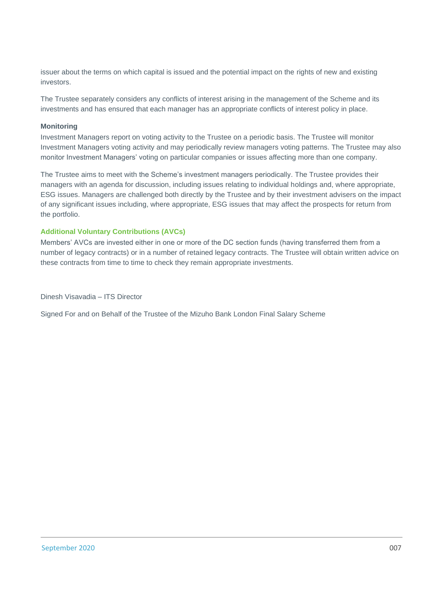issuer about the terms on which capital is issued and the potential impact on the rights of new and existing investors.

The Trustee separately considers any conflicts of interest arising in the management of the Scheme and its investments and has ensured that each manager has an appropriate conflicts of interest policy in place.

#### **Monitoring**

Investment Managers report on voting activity to the Trustee on a periodic basis. The Trustee will monitor Investment Managers voting activity and may periodically review managers voting patterns. The Trustee may also monitor Investment Managers' voting on particular companies or issues affecting more than one company.

The Trustee aims to meet with the Scheme's investment managers periodically. The Trustee provides their managers with an agenda for discussion, including issues relating to individual holdings and, where appropriate, ESG issues. Managers are challenged both directly by the Trustee and by their investment advisers on the impact of any significant issues including, where appropriate, ESG issues that may affect the prospects for return from the portfolio.

# **Additional Voluntary Contributions (AVCs)**

Members' AVCs are invested either in one or more of the DC section funds (having transferred them from a number of legacy contracts) or in a number of retained legacy contracts. The Trustee will obtain written advice on these contracts from time to time to check they remain appropriate investments.

Dinesh Visavadia – ITS Director

Signed For and on Behalf of the Trustee of the Mizuho Bank London Final Salary Scheme